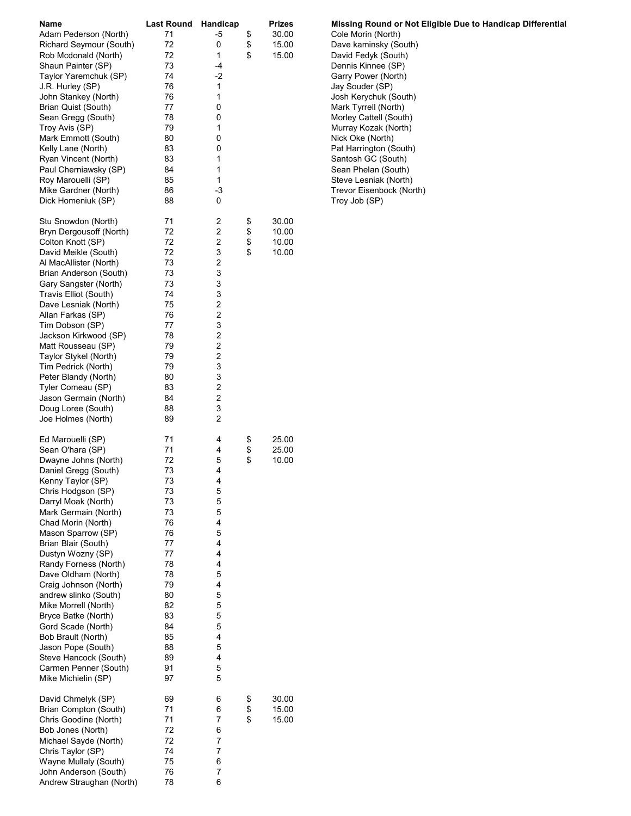| Name                                         | <b>Last Round</b> | Handicap                | <b>Prizes</b> | Missing Round or I    |
|----------------------------------------------|-------------------|-------------------------|---------------|-----------------------|
| Adam Pederson (North)                        | 71                | -5                      | \$<br>30.00   | Cole Morin (North)    |
| Richard Seymour (South)                      | 72                | 0                       | \$<br>15.00   | Dave kaminsky (Sou    |
| Rob Mcdonald (North)                         | 72                | 1                       | \$<br>15.00   | David Fedyk (South)   |
| Shaun Painter (SP)                           | 73                | -4                      |               | Dennis Kinnee (SP)    |
| Taylor Yaremchuk (SP)                        | 74                | -2                      |               | Garry Power (North)   |
| J.R. Hurley (SP)                             | 76                | 1                       |               | Jay Souder (SP)       |
| John Stankey (North)                         | 76                | 1                       |               | Josh Kerychuk (Sout   |
| Brian Quist (South)                          | 77                | 0                       |               | Mark Tyrrell (North)  |
| Sean Gregg (South)                           | 78                | 0                       |               | Morley Cattell (South |
| Troy Avis (SP)                               | 79                | 1                       |               | Murray Kozak (North   |
| Mark Emmott (South)                          | 80                | 0                       |               | Nick Oke (North)      |
| Kelly Lane (North)                           | 83                | 0                       |               | Pat Harrington (Sout  |
| Ryan Vincent (North)                         | 83                | 1                       |               | Santosh GC (South)    |
| Paul Cherniawsky (SP)                        | 84                | 1                       |               | Sean Phelan (South)   |
| Roy Marouelli (SP)                           | 85                | 1                       |               | Steve Lesniak (North  |
| Mike Gardner (North)                         | 86                | -3                      |               | Trevor Eisenbock (N   |
| Dick Homeniuk (SP)                           | 88                | 0                       |               | Troy Job (SP)         |
| Stu Snowdon (North)                          | 71                | 2                       | \$<br>30.00   |                       |
| Bryn Dergousoff (North)                      | 72                | 2                       | \$<br>10.00   |                       |
| Colton Knott (SP)                            | 72                | 2                       | \$<br>10.00   |                       |
| David Meikle (South)                         | 72                | 3                       | \$<br>10.00   |                       |
| Al MacAllister (North)                       | 73                | $\overline{\mathbf{c}}$ |               |                       |
| Brian Anderson (South)                       | 73                | 3                       |               |                       |
| Gary Sangster (North)                        | 73                | 3                       |               |                       |
| Travis Elliot (South)                        | 74                | 3                       |               |                       |
| Dave Lesniak (North)                         | 75                | 2                       |               |                       |
| Allan Farkas (SP)                            | 76                | 2                       |               |                       |
| Tim Dobson (SP)                              | 77                | 3                       |               |                       |
| Jackson Kirkwood (SP)                        | 78                | 2                       |               |                       |
| Matt Rousseau (SP)                           | 79                | 2                       |               |                       |
| Taylor Stykel (North)                        | 79                | $\overline{\mathbf{c}}$ |               |                       |
| Tim Pedrick (North)                          | 79                | 3                       |               |                       |
| Peter Blandy (North)                         | 80                | 3                       |               |                       |
| Tyler Comeau (SP)                            | 83                | 2                       |               |                       |
| Jason Germain (North)                        | 84                | 2                       |               |                       |
| Doug Loree (South)                           | 88                | 3                       |               |                       |
| Joe Holmes (North)                           | 89                | $\overline{2}$          |               |                       |
| Ed Marouelli (SP)                            | 71                | 4                       | \$<br>25.00   |                       |
| Sean O'hara (SP)                             | 71                | 4                       | \$<br>25.00   |                       |
| Dwayne Johns (North)                         | 72                | 5                       | \$<br>10.00   |                       |
| Daniel Gregg (South)                         | 73                | 4                       |               |                       |
| Kenny Taylor (SP)                            | 73                | 4                       |               |                       |
| Chris Hodgson (SP)                           | 73                | 5                       |               |                       |
| Darryl Moak (North)                          | 73                | 5                       |               |                       |
| Mark Germain (North)                         | 73                | 5                       |               |                       |
| Chad Morin (North)                           | 76                | 4                       |               |                       |
| Mason Sparrow (SP)                           | 76                | 5                       |               |                       |
| Brian Blair (South)                          | 77                | 4                       |               |                       |
| Dustyn Wozny (SP)                            | 77                | 4                       |               |                       |
| Randy Forness (North)                        | 78                | 4                       |               |                       |
| Dave Oldham (North)                          | 78                | 5                       |               |                       |
| Craig Johnson (North)                        | 79                | 4                       |               |                       |
| andrew slinko (South)                        | 80                | 5                       |               |                       |
| Mike Morrell (North)                         | 82                | 5                       |               |                       |
| Bryce Batke (North)                          | 83                | 5                       |               |                       |
| Gord Scade (North)                           | 84                | 5<br>4                  |               |                       |
| Bob Brault (North)                           | 85<br>88          | 5                       |               |                       |
| Jason Pope (South)                           | 89                | 4                       |               |                       |
| Steve Hancock (South)                        | 91                | 5                       |               |                       |
| Carmen Penner (South)<br>Mike Michielin (SP) | 97                | 5                       |               |                       |
|                                              |                   |                         |               |                       |
| David Chmelyk (SP)                           | 69                | 6                       | \$<br>30.00   |                       |
| Brian Compton (South)                        | 71                | 6                       | \$<br>15.00   |                       |
| Chris Goodine (North)                        | 71                | 7                       | \$<br>15.00   |                       |
| Bob Jones (North)                            | 72                | 6                       |               |                       |
| Michael Sayde (North)                        | 72                | 7                       |               |                       |
| Chris Taylor (SP)                            | 74                | 7                       |               |                       |
| Wayne Mullaly (South)                        | 75                | 6                       |               |                       |
| John Anderson (South)                        | 76<br>78          | 7<br>6                  |               |                       |
| Andrew Straughan (North)                     |                   |                         |               |                       |

Missing Round or Not Eligible Due to Handicap Differential Cole Morin (North) Dave kaminsky (South) David Fedyk (South) Josh Kerychuk (South) Mark Tyrrell (North) Morley Cattell (South) Murray Kozak (North) Nick Oke (North) Pat Harrington (South) Santosh GC (South) Sean Phelan (South) Steve Lesniak (North) Trevor Eisenbock (North) Troy Job (SP)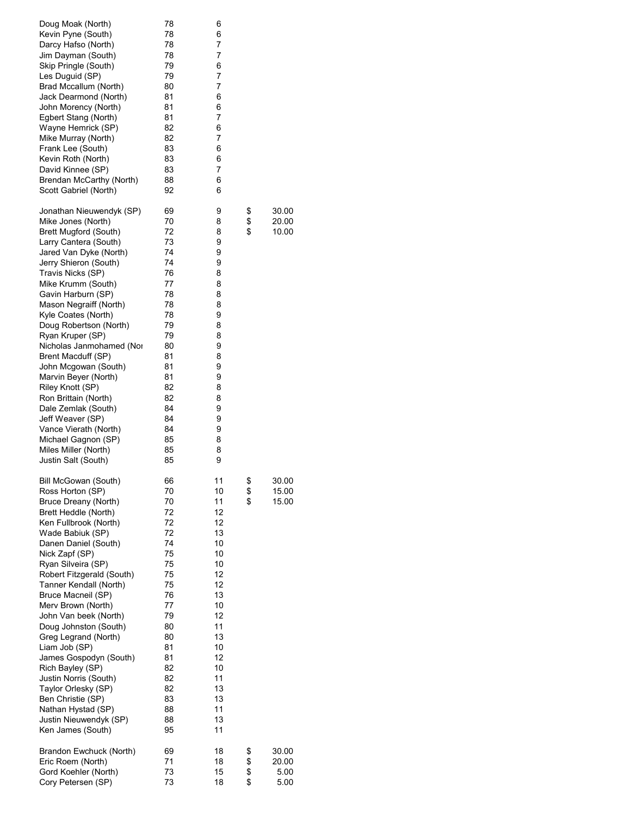| Doug Moak (North)<br>Kevin Pyne (South)<br>Darcy Hafso (North)<br>Jim Dayman (South)<br>Skip Pringle (South)<br>Les Duguid (SP)<br>Brad Mccallum (North)<br>Jack Dearmond (North)<br>John Morency (North)<br>Egbert Stang (North)<br>Wayne Hemrick (SP)<br>Mike Murray (North)<br>Frank Lee (South)<br>Kevin Roth (North)<br>David Kinnee (SP)<br>Brendan McCarthy (North)<br>Scott Gabriel (North)                                                                                                                                                                                                                    | 78<br>78<br>78<br>78<br>79<br>79<br>80<br>81<br>81<br>81<br>82<br>82<br>83<br>83<br>83<br>88<br>92                                                       | 6<br>6<br>7<br>7<br>6<br>7<br>7<br>6<br>6<br>7<br>6<br>7<br>6<br>6<br>7<br>6<br>6                                                                        |                      |                                  |
|------------------------------------------------------------------------------------------------------------------------------------------------------------------------------------------------------------------------------------------------------------------------------------------------------------------------------------------------------------------------------------------------------------------------------------------------------------------------------------------------------------------------------------------------------------------------------------------------------------------------|----------------------------------------------------------------------------------------------------------------------------------------------------------|----------------------------------------------------------------------------------------------------------------------------------------------------------|----------------------|----------------------------------|
| Jonathan Nieuwendyk (SP)<br>Mike Jones (North)<br>Brett Mugford (South)<br>Larry Cantera (South)<br>Jared Van Dyke (North)<br>Jerry Shieron (South)<br>Travis Nicks (SP)<br>Mike Krumm (South)<br>Gavin Harburn (SP)<br>Mason Negraiff (North)<br>Kyle Coates (North)<br>Doug Robertson (North)<br>Ryan Kruper (SP)<br>Nicholas Janmohamed (Nor<br>Brent Macduff (SP)<br>John Mcgowan (South)<br>Marvin Beyer (North)<br>Riley Knott (SP)<br>Ron Brittain (North)<br>Dale Zemlak (South)<br>Jeff Weaver (SP)<br>Vance Vierath (North)<br>Michael Gagnon (SP)<br>Miles Miller (North)<br>Justin Salt (South)            | 69<br>70<br>72<br>73<br>74<br>74<br>76<br>77<br>78<br>78<br>78<br>79<br>79<br>80<br>81<br>81<br>81<br>82<br>82<br>84<br>84<br>84<br>85<br>85<br>85       | 9<br>8<br>8<br>9<br>9<br>9<br>8<br>8<br>8<br>8<br>9<br>8<br>8<br>9<br>8<br>9<br>9<br>8<br>8<br>9<br>9<br>9<br>8<br>8<br>9                                | \$<br>\$<br>\$       | 30.00<br>20.00<br>10.00          |
| Bill McGowan (South)<br>Ross Horton (SP)<br>Bruce Dreany (North)<br>Brett Heddle (North)<br>Ken Fullbrook (North)<br>Wade Babiuk (SP)<br>Danen Daniel (South)<br>Nick Zapf (SP)<br>Ryan Silveira (SP)<br>Robert Fitzgerald (South)<br>Tanner Kendall (North)<br>Bruce Macneil (SP)<br>Merv Brown (North)<br>John Van beek (North)<br>Doug Johnston (South)<br>Greg Legrand (North)<br>Liam Job (SP)<br>James Gospodyn (South)<br>Rich Bayley (SP)<br>Justin Norris (South)<br>Taylor Orlesky (SP)<br>Ben Christie (SP)<br>Nathan Hystad (SP)<br>Justin Nieuwendyk (SP)<br>Ken James (South)<br>Brandon Ewchuck (North) | 66<br>70<br>70<br>72<br>72<br>72<br>74<br>75<br>75<br>75<br>75<br>76<br>77<br>79<br>80<br>80<br>81<br>81<br>82<br>82<br>82<br>83<br>88<br>88<br>95<br>69 | 11<br>10<br>11<br>12<br>12<br>13<br>10<br>10<br>10<br>12<br>12<br>13<br>10<br>12<br>11<br>13<br>10<br>12<br>10<br>11<br>13<br>13<br>11<br>13<br>11<br>18 | \$<br>\$<br>\$<br>\$ | 30.00<br>15.00<br>15.00<br>30.00 |
| Eric Roem (North)<br>Gord Koehler (North)<br>Cory Petersen (SP)                                                                                                                                                                                                                                                                                                                                                                                                                                                                                                                                                        | 71<br>73<br>73                                                                                                                                           | 18<br>15<br>18                                                                                                                                           | \$<br>\$<br>\$       | 20.00<br>5.00<br>5.00            |